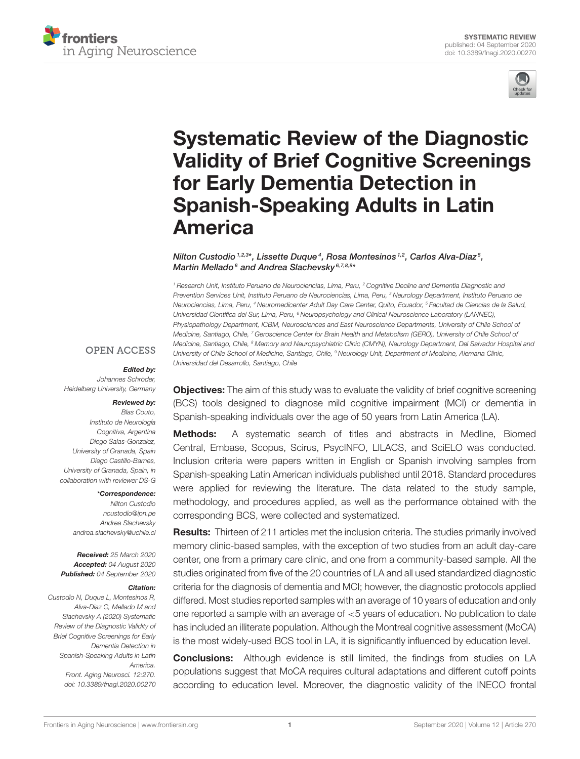



# Systematic Review of the Diagnostic [Validity of Brief Cognitive Screenings](https://www.frontiersin.org/articles/10.3389/fnagi.2020.00270/full) for Early Dementia Detection in Spanish-Speaking Adults in Latin America

Nilton Custodio 1,2,3\*, Lissette Duque <sup>4</sup>, Rosa Montesinos <sup>1,2</sup>, Carlos Alva-Diaz 5, Martin Mellado <sup>6</sup> and Andrea Slachevsky <sup>6,7,8,9\*</sup>

<sup>1</sup> Research Unit, Instituto Peruano de Neurociencias, Lima, Peru, <sup>2</sup> Cognitive Decline and Dementia Diagnostic and Prevention Services Unit, Instituto Peruano de Neurociencias, Lima, Peru, <sup>3</sup> Neurology Department, Instituto Peruano de Neurociencias, Lima, Peru, <sup>4</sup> Neuromedicenter Adult Day Care Center, Quito, Ecuador, <sup>5</sup> Facultad de Ciencias de la Salud, Universidad Científica del Sur, Lima, Peru, <sup>6</sup> Neuropsychology and Clinical Neuroscience Laboratory (LANNEC), Physiopathology Department, ICBM, Neurosciences and East Neuroscience Departments, University of Chile School of Medicine, Santiago, Chile, <sup>7</sup> Geroscience Center for Brain Health and Metabolism (GERO), University of Chile School of Medicine, Santiago, Chile, <sup>8</sup> Memory and Neuropsychiatric Clinic (CMYN), Neurology Department, Del Salvador Hospital and University of Chile School of Medicine, Santiago, Chile, <sup>9</sup> Neurology Unit, Department of Medicine, Alemana Clinic, Universidad del Desarrollo, Santiago, Chile

#### **OPEN ACCESS**

#### Edited by:

Johannes Schröder, Heidelberg University, Germany

#### Reviewed by: Blas Couto,

Instituto de Neurología Cognitiva, Argentina Diego Salas-Gonzalez, University of Granada, Spain Diego Castillo-Barnes, University of Granada, Spain, in collaboration with reviewer DS-G

\*Correspondence:

Nilton Custodio [ncustodio@ipn.pe](mailto:ncustodio@ipn.pe) Andrea Slachevsky [andrea.slachevsky@uchile.cl](mailto:andrea.slachevsky@uchile.cl)

Received: 25 March 2020 Accepted: 04 August 2020 Published: 04 September 2020

#### Citation:

Custodio N, Duque L, Montesinos R, Alva-Diaz C, Mellado M and Slachevsky A (2020) Systematic Review of the Diagnostic Validity of Brief Cognitive Screenings for Early Dementia Detection in Spanish-Speaking Adults in Latin America. Front. Aging Neurosci. 12:270. doi: [10.3389/fnagi.2020.00270](https://doi.org/10.3389/fnagi.2020.00270) **Objectives:** The aim of this study was to evaluate the validity of brief cognitive screening (BCS) tools designed to diagnose mild cognitive impairment (MCI) or dementia in Spanish-speaking individuals over the age of 50 years from Latin America (LA).

Methods: A systematic search of titles and abstracts in Medline, Biomed Central, Embase, Scopus, Scirus, PsycINFO, LILACS, and SciELO was conducted. Inclusion criteria were papers written in English or Spanish involving samples from Spanish-speaking Latin American individuals published until 2018. Standard procedures were applied for reviewing the literature. The data related to the study sample, methodology, and procedures applied, as well as the performance obtained with the corresponding BCS, were collected and systematized.

**Results:** Thirteen of 211 articles met the inclusion criteria. The studies primarily involved memory clinic-based samples, with the exception of two studies from an adult day-care center, one from a primary care clinic, and one from a community-based sample. All the studies originated from five of the 20 countries of LA and all used standardized diagnostic criteria for the diagnosis of dementia and MCI; however, the diagnostic protocols applied differed. Most studies reported samples with an average of 10 years of education and only one reported a sample with an average of <5 years of education. No publication to date has included an illiterate population. Although the Montreal cognitive assessment (MoCA) is the most widely-used BCS tool in LA, it is significantly influenced by education level.

**Conclusions:** Although evidence is still limited, the findings from studies on LA populations suggest that MoCA requires cultural adaptations and different cutoff points according to education level. Moreover, the diagnostic validity of the INECO frontal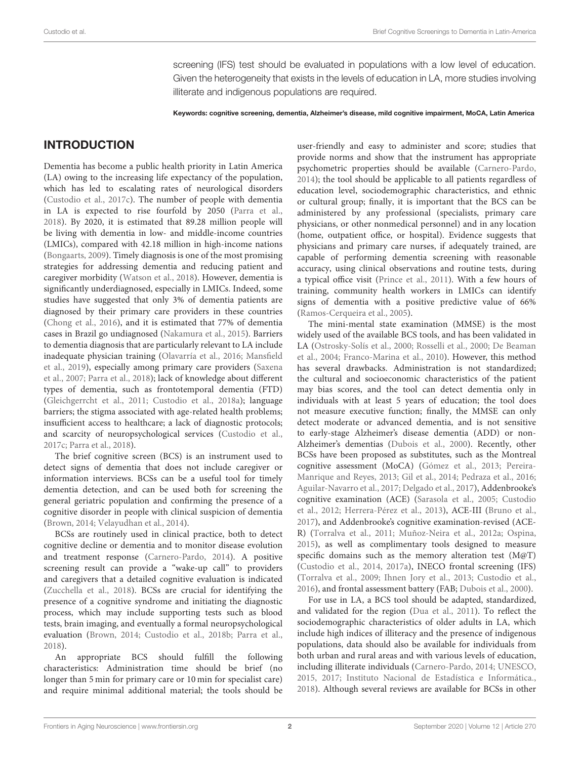screening (IFS) test should be evaluated in populations with a low level of education. Given the heterogeneity that exists in the levels of education in LA, more studies involving illiterate and indigenous populations are required.

Keywords: cognitive screening, dementia, Alzheimer's disease, mild cognitive impairment, MoCA, Latin America

# INTRODUCTION

Dementia has become a public health priority in Latin America (LA) owing to the increasing life expectancy of the population, which has led to escalating rates of neurological disorders [\(Custodio et al., 2017c\)](#page-11-0). The number of people with dementia in LA is expected to rise fourfold by 2050 [\(Parra et al.,](#page-12-0) [2018\)](#page-12-0). By 2020, it is estimated that 89.28 million people will be living with dementia in low- and middle-income countries (LMICs), compared with 42.18 million in high-income nations [\(Bongaarts, 2009\)](#page-10-0). Timely diagnosis is one of the most promising strategies for addressing dementia and reducing patient and caregiver morbidity [\(Watson et al., 2018\)](#page-12-1). However, dementia is significantly underdiagnosed, especially in LMICs. Indeed, some studies have suggested that only 3% of dementia patients are diagnosed by their primary care providers in these countries [\(Chong et al., 2016\)](#page-10-1), and it is estimated that 77% of dementia cases in Brazil go undiagnosed [\(Nakamura et al., 2015\)](#page-11-1). Barriers to dementia diagnosis that are particularly relevant to LA include inadequate physician training [\(Olavarría et al., 2016;](#page-12-2) Mansfield et al., [2019\)](#page-11-2), especially among primary care providers (Saxena et al., [2007;](#page-12-3) [Parra et al., 2018\)](#page-12-0); lack of knowledge about different types of dementia, such as frontotemporal dementia (FTD) [\(Gleichgerrcht et al., 2011;](#page-11-3) [Custodio et al., 2018a\)](#page-10-2); language barriers; the stigma associated with age-related health problems; insufficient access to healthcare; a lack of diagnostic protocols; and scarcity of neuropsychological services [\(Custodio et al.,](#page-11-0) [2017c;](#page-11-0) [Parra et al., 2018\)](#page-12-0).

The brief cognitive screen (BCS) is an instrument used to detect signs of dementia that does not include caregiver or information interviews. BCSs can be a useful tool for timely dementia detection, and can be used both for screening the general geriatric population and confirming the presence of a cognitive disorder in people with clinical suspicion of dementia [\(Brown, 2014;](#page-10-3) [Velayudhan et al., 2014\)](#page-12-4).

BCSs are routinely used in clinical practice, both to detect cognitive decline or dementia and to monitor disease evolution and treatment response [\(Carnero-Pardo, 2014\)](#page-10-4). A positive screening result can provide a "wake-up call" to providers and caregivers that a detailed cognitive evaluation is indicated [\(Zucchella et al., 2018\)](#page-12-5). BCSs are crucial for identifying the presence of a cognitive syndrome and initiating the diagnostic process, which may include supporting tests such as blood tests, brain imaging, and eventually a formal neuropsychological evaluation [\(Brown, 2014;](#page-10-3) [Custodio et al., 2018b;](#page-11-4) [Parra et al.,](#page-12-0) [2018\)](#page-12-0).

An appropriate BCS should fulfill the following characteristics: Administration time should be brief (no longer than 5 min for primary care or 10 min for specialist care) and require minimal additional material; the tools should be user-friendly and easy to administer and score; studies that provide norms and show that the instrument has appropriate psychometric properties should be available [\(Carnero-Pardo,](#page-10-4) [2014\)](#page-10-4); the tool should be applicable to all patients regardless of education level, sociodemographic characteristics, and ethnic or cultural group; finally, it is important that the BCS can be administered by any professional (specialists, primary care physicians, or other nonmedical personnel) and in any location (home, outpatient office, or hospital). Evidence suggests that physicians and primary care nurses, if adequately trained, are capable of performing dementia screening with reasonable accuracy, using clinical observations and routine tests, during a typical office visit [\(Prince et al., 2011\)](#page-12-6). With a few hours of training, community health workers in LMICs can identify signs of dementia with a positive predictive value of 66% [\(Ramos-Cerqueira et al., 2005\)](#page-12-7).

The mini-mental state examination (MMSE) is the most widely used of the available BCS tools, and has been validated in LA [\(Ostrosky-Solís et al., 2000;](#page-12-8) [Rosselli et al., 2000;](#page-12-9) De Beaman et al., [2004;](#page-11-5) [Franco-Marina et al., 2010\)](#page-11-6). However, this method has several drawbacks. Administration is not standardized; the cultural and socioeconomic characteristics of the patient may bias scores, and the tool can detect dementia only in individuals with at least 5 years of education; the tool does not measure executive function; finally, the MMSE can only detect moderate or advanced dementia, and is not sensitive to early-stage Alzheimer's disease dementia (ADD) or non-Alzheimer's dementias [\(Dubois et al., 2000\)](#page-11-7). Recently, other BCSs have been proposed as substitutes, such as the Montreal cognitive assessment (MoCA) [\(Gómez et al., 2013;](#page-11-8) Pereira-Manrique and Reyes, [2013;](#page-12-10) [Gil et al., 2014;](#page-11-9) [Pedraza et al., 2016;](#page-12-11) [Aguilar-Navarro et al., 2017;](#page-10-5) [Delgado et al., 2017\)](#page-11-10), Addenbrooke's cognitive examination (ACE) [\(Sarasola et al., 2005;](#page-12-12) Custodio et al., [2012;](#page-11-11) [Herrera-Pérez et al., 2013\)](#page-11-12), ACE-III [\(Bruno et al.,](#page-10-6) [2017\)](#page-10-6), and Addenbrooke's cognitive examination-revised (ACE-R) [\(Torralva et al., 2011;](#page-12-13) [Muñoz-Neira et al., 2012a;](#page-11-13) [Ospina,](#page-12-14) [2015\)](#page-12-14), as well as complimentary tools designed to measure specific domains such as the memory alteration test (M@T) [\(Custodio et al., 2014,](#page-11-14) [2017a\)](#page-11-15), INECO frontal screening (IFS) [\(Torralva et al., 2009;](#page-12-15) [Ihnen Jory et al., 2013;](#page-11-16) [Custodio et al.,](#page-11-17) [2016\)](#page-11-17), and frontal assessment battery (FAB; [Dubois et al., 2000\)](#page-11-7).

For use in LA, a BCS tool should be adapted, standardized, and validated for the region [\(Dua et al., 2011\)](#page-11-18). To reflect the sociodemographic characteristics of older adults in LA, which include high indices of illiteracy and the presence of indigenous populations, data should also be available for individuals from both urban and rural areas and with various levels of education, including illiterate individuals [\(Carnero-Pardo, 2014;](#page-10-4) [UNESCO,](#page-12-16) [2015,](#page-12-16) [2017;](#page-12-17) [Instituto Nacional de Estadística e Informática.,](#page-11-19) [2018\)](#page-11-19). Although several reviews are available for BCSs in other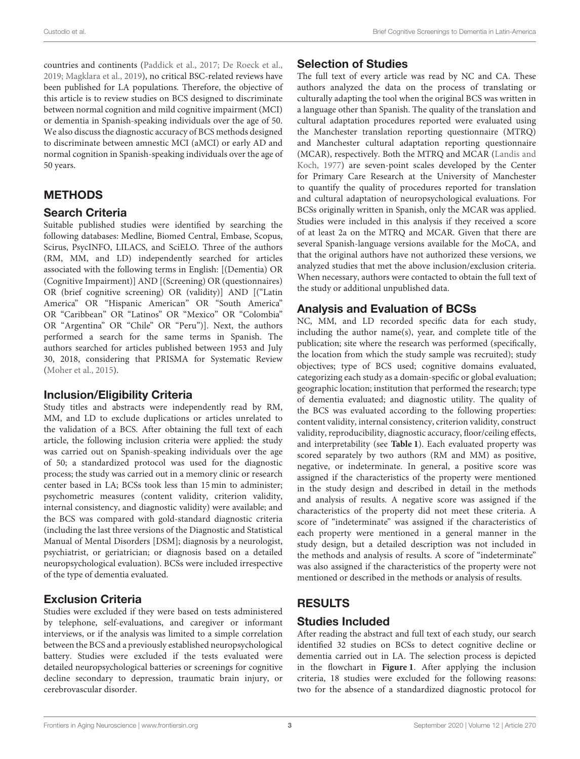countries and continents [\(Paddick et al., 2017;](#page-12-18) [De Roeck et al.,](#page-11-20) [2019;](#page-11-20) [Magklara et al., 2019\)](#page-11-21), no critical BSC-related reviews have been published for LA populations. Therefore, the objective of this article is to review studies on BCS designed to discriminate between normal cognition and mild cognitive impairment (MCI) or dementia in Spanish-speaking individuals over the age of 50. We also discuss the diagnostic accuracy of BCS methods designed to discriminate between amnestic MCI (aMCI) or early AD and normal cognition in Spanish-speaking individuals over the age of 50 years.

# METHODS

### Search Criteria

Suitable published studies were identified by searching the following databases: Medline, Biomed Central, Embase, Scopus, Scirus, PsycINFO, LILACS, and SciELO. Three of the authors (RM, MM, and LD) independently searched for articles associated with the following terms in English: [(Dementia) OR (Cognitive Impairment)] AND [(Screening) OR (questionnaires) OR (brief cognitive screening) OR (validity)] AND [("Latin America" OR "Hispanic American" OR "South America" OR "Caribbean" OR "Latinos" OR "Mexico" OR "Colombia" OR "Argentina" OR "Chile" OR "Peru")]. Next, the authors performed a search for the same terms in Spanish. The authors searched for articles published between 1953 and July 30, 2018, considering that PRISMA for Systematic Review [\(Moher et al., 2015\)](#page-11-22).

#### Inclusion/Eligibility Criteria

Study titles and abstracts were independently read by RM, MM, and LD to exclude duplications or articles unrelated to the validation of a BCS. After obtaining the full text of each article, the following inclusion criteria were applied: the study was carried out on Spanish-speaking individuals over the age of 50; a standardized protocol was used for the diagnostic process; the study was carried out in a memory clinic or research center based in LA; BCSs took less than 15 min to administer; psychometric measures (content validity, criterion validity, internal consistency, and diagnostic validity) were available; and the BCS was compared with gold-standard diagnostic criteria (including the last three versions of the Diagnostic and Statistical Manual of Mental Disorders [DSM]; diagnosis by a neurologist, psychiatrist, or geriatrician; or diagnosis based on a detailed neuropsychological evaluation). BCSs were included irrespective of the type of dementia evaluated.

## Exclusion Criteria

Studies were excluded if they were based on tests administered by telephone, self-evaluations, and caregiver or informant interviews, or if the analysis was limited to a simple correlation between the BCS and a previously established neuropsychological battery. Studies were excluded if the tests evaluated were detailed neuropsychological batteries or screenings for cognitive decline secondary to depression, traumatic brain injury, or cerebrovascular disorder.

## Selection of Studies

The full text of every article was read by NC and CA. These authors analyzed the data on the process of translating or culturally adapting the tool when the original BCS was written in a language other than Spanish. The quality of the translation and cultural adaptation procedures reported were evaluated using the Manchester translation reporting questionnaire (MTRQ) and Manchester cultural adaptation reporting questionnaire (MCAR), respectively. Both the MTRQ and MCAR (Landis and Koch, [1977\)](#page-11-23) are seven-point scales developed by the Center for Primary Care Research at the University of Manchester to quantify the quality of procedures reported for translation and cultural adaptation of neuropsychological evaluations. For BCSs originally written in Spanish, only the MCAR was applied. Studies were included in this analysis if they received a score of at least 2a on the MTRQ and MCAR. Given that there are several Spanish-language versions available for the MoCA, and that the original authors have not authorized these versions, we analyzed studies that met the above inclusion/exclusion criteria. When necessary, authors were contacted to obtain the full text of the study or additional unpublished data.

# Analysis and Evaluation of BCSs

NC, MM, and LD recorded specific data for each study, including the author name(s), year, and complete title of the publication; site where the research was performed (specifically, the location from which the study sample was recruited); study objectives; type of BCS used; cognitive domains evaluated, categorizing each study as a domain-specific or global evaluation; geographic location; institution that performed the research; type of dementia evaluated; and diagnostic utility. The quality of the BCS was evaluated according to the following properties: content validity, internal consistency, criterion validity, construct validity, reproducibility, diagnostic accuracy, floor/ceiling effects, and interpretability (see **[Table 1](#page-3-0)**). Each evaluated property was scored separately by two authors (RM and MM) as positive, negative, or indeterminate. In general, a positive score was assigned if the characteristics of the property were mentioned in the study design and described in detail in the methods and analysis of results. A negative score was assigned if the characteristics of the property did not meet these criteria. A score of "indeterminate" was assigned if the characteristics of each property were mentioned in a general manner in the study design, but a detailed description was not included in the methods and analysis of results. A score of "indeterminate" was also assigned if the characteristics of the property were not mentioned or described in the methods or analysis of results.

# RESULTS

## Studies Included

After reading the abstract and full text of each study, our search identified 32 studies on BCSs to detect cognitive decline or dementia carried out in LA. The selection process is depicted in the flowchart in **[Figure 1](#page-4-0)**. After applying the inclusion criteria, 18 studies were excluded for the following reasons: two for the absence of a standardized diagnostic protocol for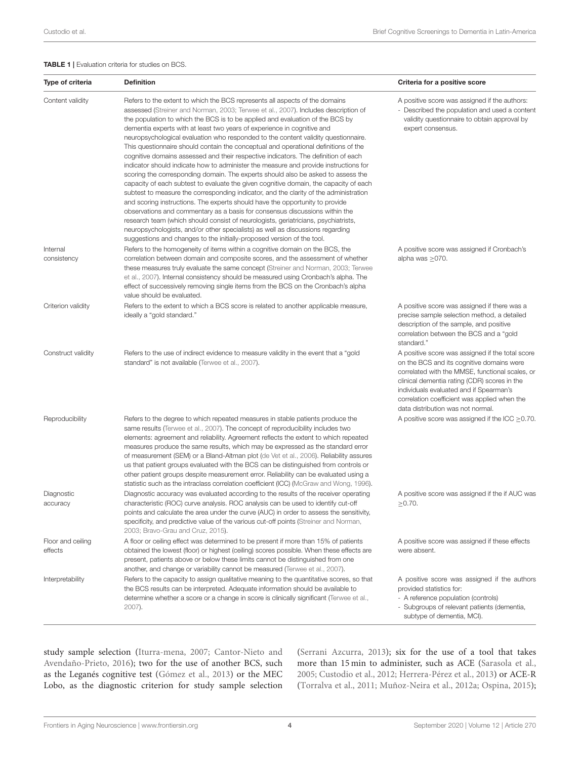#### <span id="page-3-0"></span>TABLE 1 | Evaluation criteria for studies on BCS.

| Type of criteria             | <b>Definition</b>                                                                                                                                                                                                                                                                                                                                                                                                                                                                                                                                                                                                                                                                                                                                                                                                                                                                                                                                                                                                                                                                                                                                                                                                                                                                                                                                                               | Criteria for a positive score                                                                                                                                                                                                                                                                                                    |  |  |
|------------------------------|---------------------------------------------------------------------------------------------------------------------------------------------------------------------------------------------------------------------------------------------------------------------------------------------------------------------------------------------------------------------------------------------------------------------------------------------------------------------------------------------------------------------------------------------------------------------------------------------------------------------------------------------------------------------------------------------------------------------------------------------------------------------------------------------------------------------------------------------------------------------------------------------------------------------------------------------------------------------------------------------------------------------------------------------------------------------------------------------------------------------------------------------------------------------------------------------------------------------------------------------------------------------------------------------------------------------------------------------------------------------------------|----------------------------------------------------------------------------------------------------------------------------------------------------------------------------------------------------------------------------------------------------------------------------------------------------------------------------------|--|--|
| Content validity             | Refers to the extent to which the BCS represents all aspects of the domains<br>assessed (Streiner and Norman, 2003; Terwee et al., 2007). Includes description of<br>the population to which the BCS is to be applied and evaluation of the BCS by<br>dementia experts with at least two years of experience in cognitive and<br>neuropsychological evaluation who responded to the content validity questionnaire.<br>This questionnaire should contain the conceptual and operational definitions of the<br>cognitive domains assessed and their respective indicators. The definition of each<br>indicator should indicate how to administer the measure and provide instructions for<br>scoring the corresponding domain. The experts should also be asked to assess the<br>capacity of each subtest to evaluate the given cognitive domain, the capacity of each<br>subtest to measure the corresponding indicator, and the clarity of the administration<br>and scoring instructions. The experts should have the opportunity to provide<br>observations and commentary as a basis for consensus discussions within the<br>research team (which should consist of neurologists, geriatricians, psychiatrists,<br>neuropsychologists, and/or other specialists) as well as discussions regarding<br>suggestions and changes to the initially-proposed version of the tool. | A positive score was assigned if the authors:<br>- Described the population and used a content<br>validity questionnaire to obtain approval by<br>expert consensus.                                                                                                                                                              |  |  |
| Internal<br>consistency      | Refers to the homogeneity of items within a cognitive domain on the BCS, the<br>correlation between domain and composite scores, and the assessment of whether<br>these measures truly evaluate the same concept (Streiner and Norman, 2003; Terwee<br>et al., 2007). Internal consistency should be measured using Cronbach's alpha. The<br>effect of successively removing single items from the BCS on the Cronbach's alpha<br>value should be evaluated.                                                                                                                                                                                                                                                                                                                                                                                                                                                                                                                                                                                                                                                                                                                                                                                                                                                                                                                    | A positive score was assigned if Cronbach's<br>alpha was $\geq$ 070.                                                                                                                                                                                                                                                             |  |  |
| Criterion validity           | Refers to the extent to which a BCS score is related to another applicable measure,<br>ideally a "gold standard."                                                                                                                                                                                                                                                                                                                                                                                                                                                                                                                                                                                                                                                                                                                                                                                                                                                                                                                                                                                                                                                                                                                                                                                                                                                               | A positive score was assigned if there was a<br>precise sample selection method, a detailed<br>description of the sample, and positive<br>correlation between the BCS and a "gold<br>standard."                                                                                                                                  |  |  |
| Construct validity           | Refers to the use of indirect evidence to measure validity in the event that a "gold<br>standard" is not available (Terwee et al., 2007).                                                                                                                                                                                                                                                                                                                                                                                                                                                                                                                                                                                                                                                                                                                                                                                                                                                                                                                                                                                                                                                                                                                                                                                                                                       | A positive score was assigned if the total score<br>on the BCS and its cognitive domains were<br>correlated with the MMSE, functional scales, or<br>clinical dementia rating (CDR) scores in the<br>individuals evaluated and if Spearman's<br>correlation coefficient was applied when the<br>data distribution was not normal. |  |  |
| Reproducibility              | Refers to the degree to which repeated measures in stable patients produce the<br>same results (Terwee et al., 2007). The concept of reproducibility includes two<br>elements: agreement and reliability. Agreement reflects the extent to which repeated<br>measures produce the same results, which may be expressed as the standard error<br>of measurement (SEM) or a Bland-Altman plot (de Vet et al., 2006). Reliability assures<br>us that patient groups evaluated with the BCS can be distinguished from controls or<br>other patient groups despite measurement error. Reliability can be evaluated using a<br>statistic such as the intraclass correlation coefficient (ICC) (McGraw and Wong, 1996).                                                                                                                                                                                                                                                                                                                                                                                                                                                                                                                                                                                                                                                                | A positive score was assigned if the ICC $\geq$ 0.70.                                                                                                                                                                                                                                                                            |  |  |
| Diagnostic<br>accuracy       | Diagnostic accuracy was evaluated according to the results of the receiver operating<br>characteristic (ROC) curve analysis. ROC analysis can be used to identify cut-off<br>points and calculate the area under the curve (AUC) in order to assess the sensitivity,<br>specificity, and predictive value of the various cut-off points (Streiner and Norman,<br>2003; Bravo-Grau and Cruz, 2015).                                                                                                                                                                                                                                                                                                                                                                                                                                                                                                                                                                                                                                                                                                                                                                                                                                                                                                                                                                              | A positive score was assigned if the if AUC was<br>$>0.70$ .                                                                                                                                                                                                                                                                     |  |  |
| Floor and ceiling<br>effects | A floor or ceiling effect was determined to be present if more than 15% of patients<br>obtained the lowest (floor) or highest (ceiling) scores possible. When these effects are<br>present, patients above or below these limits cannot be distinguished from one<br>another, and change or variability cannot be measured (Terwee et al., 2007).                                                                                                                                                                                                                                                                                                                                                                                                                                                                                                                                                                                                                                                                                                                                                                                                                                                                                                                                                                                                                               | A positive score was assigned if these effects<br>were absent.                                                                                                                                                                                                                                                                   |  |  |
| Interpretability             | Refers to the capacity to assign qualitative meaning to the quantitative scores, so that<br>the BCS results can be interpreted. Adequate information should be available to<br>determine whether a score or a change in score is clinically significant (Terwee et al.,<br>2007).                                                                                                                                                                                                                                                                                                                                                                                                                                                                                                                                                                                                                                                                                                                                                                                                                                                                                                                                                                                                                                                                                               | A positive score was assigned if the authors<br>provided statistics for:<br>- A reference population (controls)<br>- Subgroups of relevant patients (dementia,<br>subtype of dementia, MCI).                                                                                                                                     |  |  |

study sample selection [\(Iturra-mena, 2007;](#page-11-26) Cantor-Nieto and Avendaño-Prieto, [2016\)](#page-10-8); two for the use of another BCS, such as the Leganés cognitive test [\(Gómez et al., 2013\)](#page-11-8) or the MEC Lobo, as the diagnostic criterion for study sample selection [\(Serrani Azcurra, 2013\)](#page-12-21); six for the use of a tool that takes more than 15 min to administer, such as ACE [\(Sarasola et al.,](#page-12-12) [2005;](#page-12-12) [Custodio et al., 2012;](#page-11-11) [Herrera-Pérez et al., 2013\)](#page-11-12) or ACE-R [\(Torralva et al., 2011;](#page-12-13) [Muñoz-Neira et al., 2012a;](#page-11-13) [Ospina, 2015\)](#page-12-14);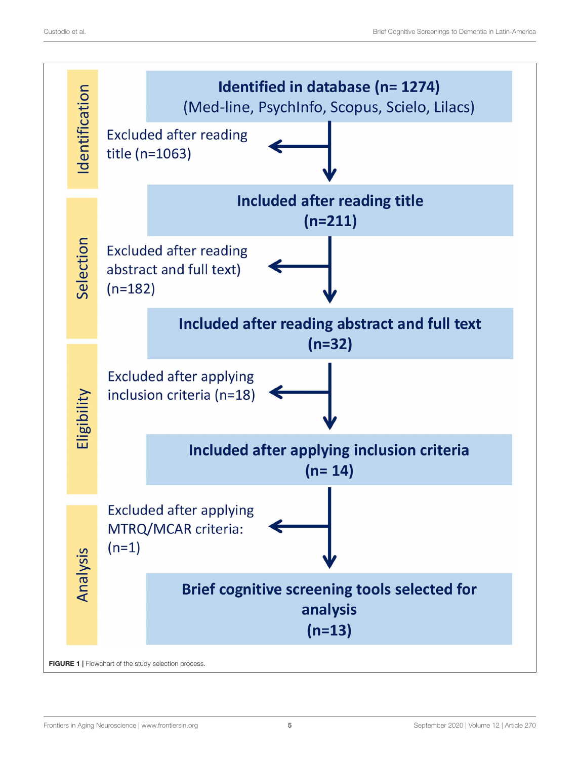<span id="page-4-0"></span>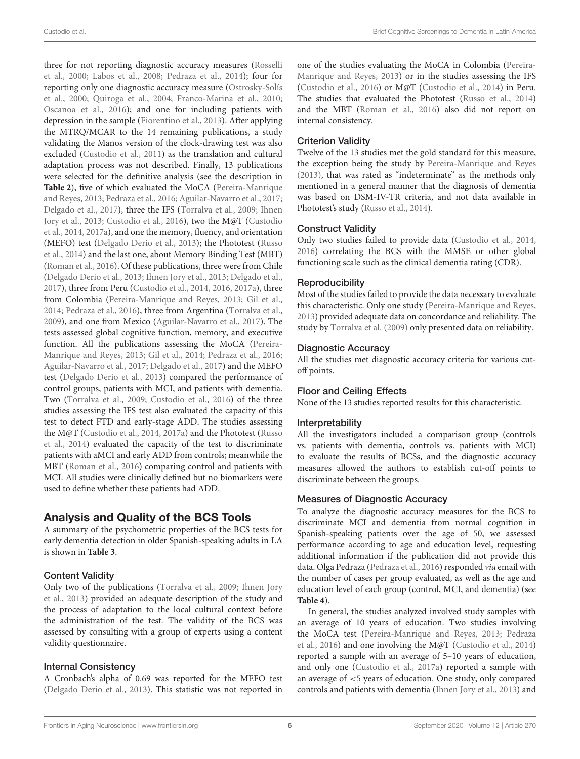three for not reporting diagnostic accuracy measures (Rosselli et al., [2000;](#page-12-9) [Labos et al., 2008;](#page-11-27) [Pedraza et al., 2014\)](#page-12-22); four for reporting only one diagnostic accuracy measure (Ostrosky-Solís et al., [2000;](#page-12-8) [Quiroga et al., 2004;](#page-12-23) [Franco-Marina et al., 2010;](#page-11-6) [Oscanoa et al., 2016\)](#page-12-24); and one for including patients with depression in the sample [\(Fiorentino et al., 2013\)](#page-11-28). After applying the MTRQ/MCAR to the 14 remaining publications, a study validating the Manos version of the clock-drawing test was also excluded [\(Custodio et al., 2011\)](#page-10-9) as the translation and cultural adaptation process was not described. Finally, 13 publications were selected for the definitive analysis (see the description in **[Table 2](#page-6-0)**), five of which evaluated the MoCA (Pereira-Manrique and Reyes, [2013;](#page-12-10) [Pedraza et al., 2016;](#page-12-11) [Aguilar-Navarro et al., 2017;](#page-10-5) [Delgado et al., 2017\)](#page-11-10), three the IFS [\(Torralva et al., 2009;](#page-12-15) Ihnen Jory et al., [2013;](#page-11-16) [Custodio et al., 2016\)](#page-11-17), two the M@T (Custodio et al., [2014,](#page-11-14) [2017a\)](#page-11-15), and one the memory, fluency, and orientation (MEFO) test [\(Delgado Derio et al., 2013\)](#page-11-29); the Phototest (Russo et al., [2014\)](#page-12-25) and the last one, about Memory Binding Test (MBT) [\(Roman et al., 2016\)](#page-12-26). Of these publications, three were from Chile [\(Delgado Derio et al., 2013;](#page-11-29) [Ihnen Jory et al., 2013;](#page-11-16) [Delgado et](#page-11-10) al., [2017\)](#page-11-10), three from Peru [\(Custodio et al., 2014,](#page-11-14) [2016,](#page-11-17) [2017a\)](#page-11-15), three from Colombia [\(Pereira-Manrique and Reyes, 2013;](#page-12-10) [Gil et al.,](#page-11-9) [2014;](#page-11-9) [Pedraza et al., 2016\)](#page-12-11), three from Argentina [\(Torralva et al.,](#page-12-15) [2009\)](#page-12-15), and one from Mexico [\(Aguilar-Navarro et al., 2017\)](#page-10-5). The tests assessed global cognitive function, memory, and executive function. All the publications assessing the MoCA (Pereira-Manrique and Reyes, [2013;](#page-12-10) [Gil et al., 2014;](#page-11-9) [Pedraza et al., 2016;](#page-12-11) [Aguilar-Navarro et al., 2017;](#page-10-5) [Delgado et al., 2017\)](#page-11-10) and the MEFO test [\(Delgado Derio et al., 2013\)](#page-11-29) compared the performance of control groups, patients with MCI, and patients with dementia. Two [\(Torralva et al., 2009;](#page-12-15) [Custodio et al., 2016\)](#page-11-17) of the three studies assessing the IFS test also evaluated the capacity of this test to detect FTD and early-stage ADD. The studies assessing the M@T [\(Custodio et al., 2014,](#page-11-14) [2017a\)](#page-11-15) and the Phototest (Russo et al., [2014\)](#page-12-25) evaluated the capacity of the test to discriminate patients with aMCI and early ADD from controls; meanwhile the MBT [\(Roman et al., 2016\)](#page-12-26) comparing control and patients with MCI. All studies were clinically defined but no biomarkers were used to define whether these patients had ADD.

# Analysis and Quality of the BCS Tools

A summary of the psychometric properties of the BCS tests for early dementia detection in older Spanish-speaking adults in LA is shown in **[Table 3](#page-7-0)**.

#### Content Validity

Only two of the publications [\(Torralva et al., 2009;](#page-12-15) Ihnen Jory et al., [2013\)](#page-11-16) provided an adequate description of the study and the process of adaptation to the local cultural context before the administration of the test. The validity of the BCS was assessed by consulting with a group of experts using a content validity questionnaire.

#### Internal Consistency

A Cronbach's alpha of 0.69 was reported for the MEFO test [\(Delgado Derio et al., 2013\)](#page-11-29). This statistic was not reported in one of the studies evaluating the MoCA in Colombia (Pereira-Manrique and Reyes, [2013\)](#page-12-10) or in the studies assessing the IFS [\(Custodio et al., 2016\)](#page-11-17) or M@T [\(Custodio et al., 2014\)](#page-11-14) in Peru. The studies that evaluated the Phototest [\(Russo et al., 2014\)](#page-12-25) and the MBT [\(Roman et al., 2016\)](#page-12-26) also did not report on internal consistency.

#### Criterion Validity

Twelve of the 13 studies met the gold standard for this measure, the exception being the study by [Pereira-Manrique and Reyes](#page-12-10) [\(2013\)](#page-12-10), that was rated as "indeterminate" as the methods only mentioned in a general manner that the diagnosis of dementia was based on DSM-IV-TR criteria, and not data available in Phototest's study [\(Russo et al., 2014\)](#page-12-25).

### Construct Validity

Only two studies failed to provide data [\(Custodio et al., 2014,](#page-11-14) [2016\)](#page-11-17) correlating the BCS with the MMSE or other global functioning scale such as the clinical dementia rating (CDR).

#### **Reproducibility**

Most of the studies failed to provide the data necessary to evaluate this characteristic. Only one study [\(Pereira-Manrique and Reyes,](#page-12-10) [2013\)](#page-12-10) provided adequate data on concordance and reliability. The study by [Torralva et al. \(2009\)](#page-12-15) only presented data on reliability.

#### Diagnostic Accuracy

All the studies met diagnostic accuracy criteria for various cutoff points.

#### Floor and Ceiling Effects

None of the 13 studies reported results for this characteristic.

#### Interpretability

All the investigators included a comparison group (controls vs. patients with dementia, controls vs. patients with MCI) to evaluate the results of BCSs, and the diagnostic accuracy measures allowed the authors to establish cut-off points to discriminate between the groups.

#### Measures of Diagnostic Accuracy

To analyze the diagnostic accuracy measures for the BCS to discriminate MCI and dementia from normal cognition in Spanish-speaking patients over the age of 50, we assessed performance according to age and education level, requesting additional information if the publication did not provide this data. Olga Pedraza [\(Pedraza et al., 2016\)](#page-12-11) responded via email with the number of cases per group evaluated, as well as the age and education level of each group (control, MCI, and dementia) (see **[Table 4](#page-8-0)**).

In general, the studies analyzed involved study samples with an average of 10 years of education. Two studies involving the MoCA test [\(Pereira-Manrique and Reyes, 2013;](#page-12-10) Pedraza et al., [2016\)](#page-12-11) and one involving the M@T [\(Custodio et al., 2014\)](#page-11-14) reported a sample with an average of 5–10 years of education, and only one [\(Custodio et al., 2017a\)](#page-11-15) reported a sample with an average of <5 years of education. One study, only compared controls and patients with dementia [\(Ihnen Jory et al., 2013\)](#page-11-16) and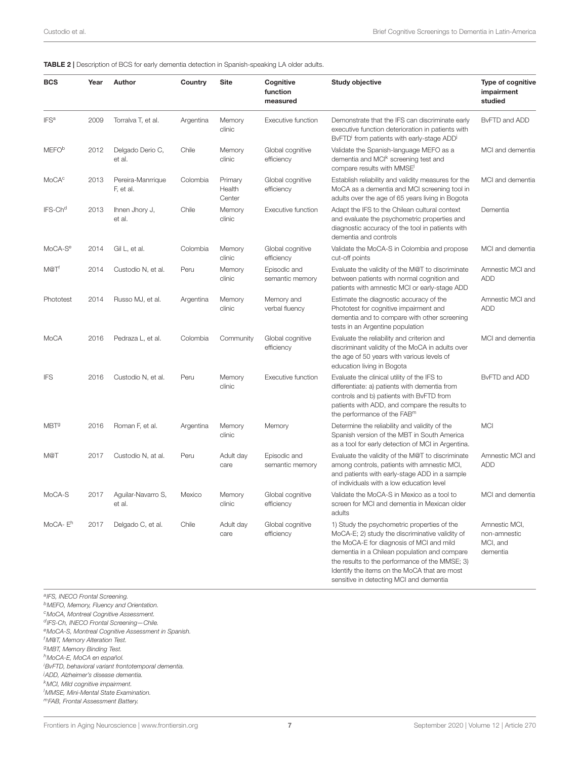<span id="page-6-0"></span>

|  | TABLE 2   Description of BCS for early dementia detection in Spanish-speaking LA older adults. |
|--|------------------------------------------------------------------------------------------------|
|--|------------------------------------------------------------------------------------------------|

| <b>BCS</b>               | Year | Author                         | Country   | <b>Site</b>                 | Cognitive<br>function<br>measured | <b>Study objective</b>                                                                                                                                                                                                                                                                       | Type of cognitive<br>impairment<br>studied            |
|--------------------------|------|--------------------------------|-----------|-----------------------------|-----------------------------------|----------------------------------------------------------------------------------------------------------------------------------------------------------------------------------------------------------------------------------------------------------------------------------------------|-------------------------------------------------------|
| <b>IFS<sup>a</sup></b>   | 2009 | Torralva T, et al.             | Argentina | Memory<br>clinic            | Executive function                | Demonstrate that the IFS can discriminate early<br>executive function deterioration in patients with<br>BvFTD' from patients with early-stage ADD'                                                                                                                                           | BvFTD and ADD                                         |
| <b>MEFO</b> <sup>b</sup> | 2012 | Delgado Derio C,<br>et al.     | Chile     | Memory<br>clinic            | Global cognitive<br>efficiency    | Validate the Spanish-language MEFO as a<br>dementia and MCI <sup>k</sup> screening test and<br>compare results with MMSE <sup>1</sup>                                                                                                                                                        | MCI and dementia                                      |
| MoCA <sup>c</sup>        | 2013 | Pereira-Manrrique<br>F, et al. | Colombia  | Primary<br>Health<br>Center | Global cognitive<br>efficiency    | Establish reliability and validity measures for the<br>MoCA as a dementia and MCI screening tool in<br>adults over the age of 65 years living in Bogota                                                                                                                                      | MCI and dementia                                      |
| IFS-Ch <sup>d</sup>      | 2013 | Ihnen Jhory J,<br>et al.       | Chile     | Memory<br>clinic            | Executive function                | Adapt the IFS to the Chilean cultural context<br>and evaluate the psychometric properties and<br>diagnostic accuracy of the tool in patients with<br>dementia and controls                                                                                                                   | Dementia                                              |
| MoCA-S <sup>e</sup>      | 2014 | Gil L, et al.                  | Colombia  | Memory<br>clinic            | Global cognitive<br>efficiency    | Validate the MoCA-S in Colombia and propose<br>cut-off points                                                                                                                                                                                                                                | MCI and dementia                                      |
| M@T <sup>t</sup>         | 2014 | Custodio N, et al.             | Peru      | Memory<br>clinic            | Episodic and<br>semantic memory   | Evaluate the validity of the M@T to discriminate<br>between patients with normal cognition and<br>patients with amnestic MCI or early-stage ADD                                                                                                                                              | Amnestic MCI and<br><b>ADD</b>                        |
| Phototest                | 2014 | Russo MJ, et al.               | Argentina | Memory<br>clinic            | Memory and<br>verbal fluency      | Estimate the diagnostic accuracy of the<br>Phototest for cognitive impairment and<br>dementia and to compare with other screening<br>tests in an Argentine population                                                                                                                        | Amnestic MCI and<br><b>ADD</b>                        |
| MoCA                     | 2016 | Pedraza L, et al.              | Colombia  | Community                   | Global cognitive<br>efficiency    | Evaluate the reliability and criterion and<br>discriminant validity of the MoCA in adults over<br>the age of 50 years with various levels of<br>education living in Bogota                                                                                                                   | MCI and dementia                                      |
| <b>IFS</b>               | 2016 | Custodio N, et al.             | Peru      | Memory<br>clinic            | Executive function                | Evaluate the clinical utility of the IFS to<br>differentiate: a) patients with dementia from<br>controls and b) patients with BvFTD from<br>patients with ADD, and compare the results to<br>the performance of the FAB <sup>m</sup>                                                         | BvFTD and ADD                                         |
| MBT <sup>9</sup>         | 2016 | Roman F, et al.                | Argentina | Memory<br>clinic            | Memory                            | Determine the reliability and validity of the<br>Spanish version of the MBT in South America<br>as a tool for early detection of MCI in Argentina.                                                                                                                                           | <b>MCI</b>                                            |
| M@T                      | 2017 | Custodio N, at al.             | Peru      | Adult day<br>care           | Episodic and<br>semantic memory   | Evaluate the validity of the M@T to discriminate<br>among controls, patients with amnestic MCI,<br>and patients with early-stage ADD in a sample<br>of individuals with a low education level                                                                                                | Amnestic MCI and<br><b>ADD</b>                        |
| MoCA-S                   | 2017 | Aguilar-Navarro S,<br>et al.   | Mexico    | Memory<br>clinic            | Global cognitive<br>efficiency    | Validate the MoCA-S in Mexico as a tool to<br>screen for MCI and dementia in Mexican older<br>adults                                                                                                                                                                                         | MCI and dementia                                      |
| MoCA-E <sup>h</sup>      | 2017 | Delgado C, et al.              | Chile     | Adult day<br>care           | Global cognitive<br>efficiency    | 1) Study the psychometric properties of the<br>MoCA-E; 2) study the discriminative validity of<br>the MoCA-E for diagnosis of MCI and mild<br>dementia in a Chilean population and compare<br>the results to the performance of the MMSE; 3)<br>Identify the items on the MoCA that are most | Amnestic MCI,<br>non-amnestic<br>MCI, and<br>dementia |

a<sub>IFS</sub>, INECO Frontal Screening.

<sup>b</sup>MEFO, Memory, Fluency and Orientation.

<sup>c</sup>MoCA, Montreal Cognitive Assessment.

d IFS-Ch, INECO Frontal Screening-Chile.

<sup>e</sup>MoCA-S, Montreal Cognitive Assessment in Spanish.

<sup>f</sup> M@T, Memory Alteration Test.

<sup>g</sup>MBT, Memory Binding Test.

<sup>h</sup>MoCA-E, MoCA en español.

<sup>i</sup>BvFTD, behavioral variant frontotemporal dementia.

<sup>j</sup>ADD, Alzheimer's disease dementia.

<sup>k</sup>MCI, Mild cognitive impairment.

<sup>l</sup>MMSE, Mini-Mental State Examination.

<sup>m</sup>FAB, Frontal Assessment Battery.

sensitive in detecting MCI and dementia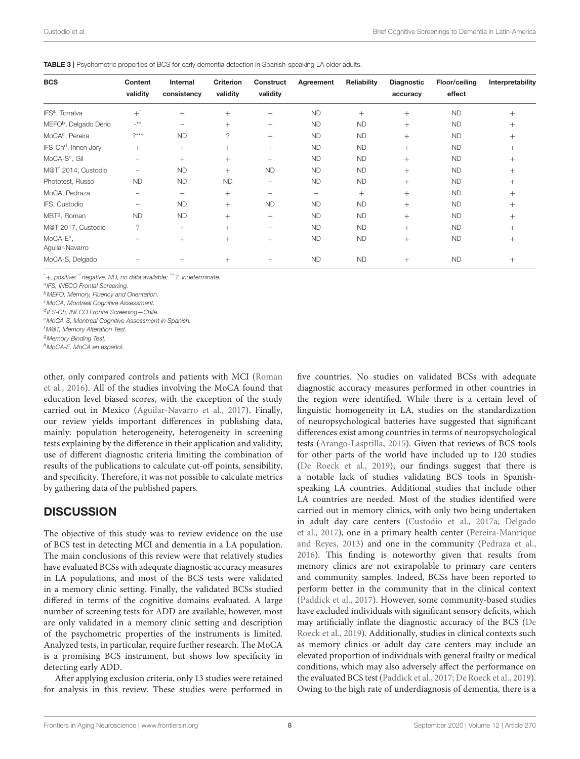<span id="page-7-0"></span>TABLE 3 | Psychometric properties of BCS for early dementia detection in Spanish-speaking LA older adults.

| <b>BCS</b>                               | Content<br>validity      | Internal<br>consistency | <b>Criterion</b><br>validity | Construct<br>validity | Agreement | Reliability | Diagnostic<br>accuracy | Floor/ceiling<br>effect | Interpretability |
|------------------------------------------|--------------------------|-------------------------|------------------------------|-----------------------|-----------|-------------|------------------------|-------------------------|------------------|
| IFS <sup>a</sup> , Torralva              | $+^{^{\star}}$           | $+$                     | $^{+}$                       | $^{+}$                | <b>ND</b> | $^{+}$      | $^{+}$                 | <b>ND</b>               | $^{+}$           |
| MEFO <sup>b</sup> , Delgado Derio        | $-***$                   | -                       | $^{+}$                       | $^{+}$                | <b>ND</b> | <b>ND</b>   | $^{+}$                 | <b>ND</b>               | $^{+}$           |
| MoCA <sup>c</sup> , Pereira              | $?***$                   | <b>ND</b>               | ?                            | $^{+}$                | <b>ND</b> | <b>ND</b>   | $^{+}$                 | <b>ND</b>               | $^{+}$           |
| IFS-Ch <sup>d</sup> , Ihnen Jory         | $^{+}$                   | $+$                     | $^{+}$                       | $^{+}$                | <b>ND</b> | <b>ND</b>   | $^{+}$                 | <b>ND</b>               | $^{+}$           |
| MoCA-S <sup>e</sup> , Gil                | $\overline{\phantom{0}}$ | $+$                     | $^{+}$                       | $^{+}$                | <b>ND</b> | <b>ND</b>   | $+$                    | <b>ND</b>               | $^{+}$           |
| M@T <sup>f</sup> 2014, Custodio          | -                        | <b>ND</b>               | $^{+}$                       | <b>ND</b>             | <b>ND</b> | <b>ND</b>   | $^{+}$                 | <b>ND</b>               | $^{+}$           |
| Phototest, Russo                         | <b>ND</b>                | <b>ND</b>               | <b>ND</b>                    | $^{+}$                | <b>ND</b> | <b>ND</b>   | $^{+}$                 | <b>ND</b>               | $^{+}$           |
| MoCA, Pedraza                            | -                        | $^{+}$                  | $^{+}$                       | $\qquad \qquad -$     | $^{+}$    | $^{+}$      | $^{+}$                 | <b>ND</b>               | $^{+}$           |
| IFS, Custodio                            | -                        | <b>ND</b>               | $^{+}$                       | <b>ND</b>             | <b>ND</b> | <b>ND</b>   | $^{+}$                 | <b>ND</b>               | $^{+}$           |
| MBT <sup>9</sup> , Roman                 | <b>ND</b>                | <b>ND</b>               | $^{+}$                       | $^{+}$                | <b>ND</b> | <b>ND</b>   | $+$                    | <b>ND</b>               | $^{+}$           |
| M@T 2017, Custodio                       | ?                        | $^{+}$                  | $^{+}$                       | $^{+}$                | <b>ND</b> | <b>ND</b>   | $^{+}$                 | <b>ND</b>               | $^{+}$           |
| MoCA-E <sup>h</sup> .<br>Aguilar-Navarro |                          | $^{+}$                  | $^{+}$                       | $^{+}$                | <b>ND</b> | <b>ND</b>   | $+$                    | <b>ND</b>               | $^{+}$           |
| MoCA-S, Delgado                          |                          | $^{+}$                  | $^{+}$                       | $^{+}$                | <b>ND</b> | <b>ND</b>   | $^{+}$                 | <b>ND</b>               | $^{+}$           |

\*+, positive; \*\*negative, ND, no data available; \*\*\*?, indeterminate.

a<sub>IFS</sub>, INECO Frontal Screening.

<sup>b</sup>MEFO, Memory, Fluency and Orientation.

<sup>c</sup>MoCA, Montreal Cognitive Assessment.

d IFS-Ch, INECO Frontal Screening-Chile.

eMoCA-S, Montreal Cognitive Assessment in Spanish.

<sup>f</sup> M@T, Memory Alteration Test.

<sup>g</sup>Memory Binding Test.

<sup>h</sup>MoCA-E, MoCA en español.

other, only compared controls and patients with MCI (Roman et al., [2016\)](#page-12-26). All of the studies involving the MoCA found that education level biased scores, with the exception of the study carried out in Mexico [\(Aguilar-Navarro et al., 2017\)](#page-10-5). Finally, our review yields important differences in publishing data, mainly: population heterogeneity, heterogeneity in screening tests explaining by the difference in their application and validity, use of different diagnostic criteria limiting the combination of results of the publications to calculate cut-off points, sensibility, and specificity. Therefore, it was not possible to calculate metrics by gathering data of the published papers.

#### **DISCUSSION**

The objective of this study was to review evidence on the use of BCS test in detecting MCI and dementia in a LA population. The main conclusions of this review were that relatively studies have evaluated BCSs with adequate diagnostic accuracy measures in LA populations, and most of the BCS tests were validated in a memory clinic setting. Finally, the validated BCSs studied differed in terms of the cognitive domains evaluated. A large number of screening tests for ADD are available; however, most are only validated in a memory clinic setting and description of the psychometric properties of the instruments is limited. Analyzed tests, in particular, require further research. The MoCA is a promising BCS instrument, but shows low specificity in detecting early ADD.

After applying exclusion criteria, only 13 studies were retained for analysis in this review. These studies were performed in five countries. No studies on validated BCSs with adequate diagnostic accuracy measures performed in other countries in the region were identified. While there is a certain level of linguistic homogeneity in LA, studies on the standardization of neuropsychological batteries have suggested that significant differences exist among countries in terms of neuropsychological tests [\(Arango-Lasprilla, 2015\)](#page-10-10). Given that reviews of BCS tools for other parts of the world have included up to 120 studies [\(De Roeck et al., 2019\)](#page-11-20), our findings suggest that there is a notable lack of studies validating BCS tools in Spanishspeaking LA countries. Additional studies that include other LA countries are needed. Most of the studies identified were carried out in memory clinics, with only two being undertaken in adult day care centers [\(Custodio et al., 2017a;](#page-11-15) Delgado et al., [2017\)](#page-11-10), one in a primary health center (Pereira-Manrique and Reyes, [2013\)](#page-12-10) and one in the community [\(Pedraza et al.,](#page-12-11) [2016\)](#page-12-11). This finding is noteworthy given that results from memory clinics are not extrapolable to primary care centers and community samples. Indeed, BCSs have been reported to perform better in the community that in the clinical context [\(Paddick et al., 2017\)](#page-12-18). However, some community-based studies have excluded individuals with significant sensory deficits, which may artificially inflate the diagnostic accuracy of the BCS (De Roeck et al., [2019\)](#page-11-20). Additionally, studies in clinical contexts such as memory clinics or adult day care centers may include an elevated proportion of individuals with general frailty or medical conditions, which may also adversely affect the performance on the evaluated BCS test [\(Paddick et al., 2017;](#page-12-18) [De Roeck et al., 2019\)](#page-11-20). Owing to the high rate of underdiagnosis of dementia, there is a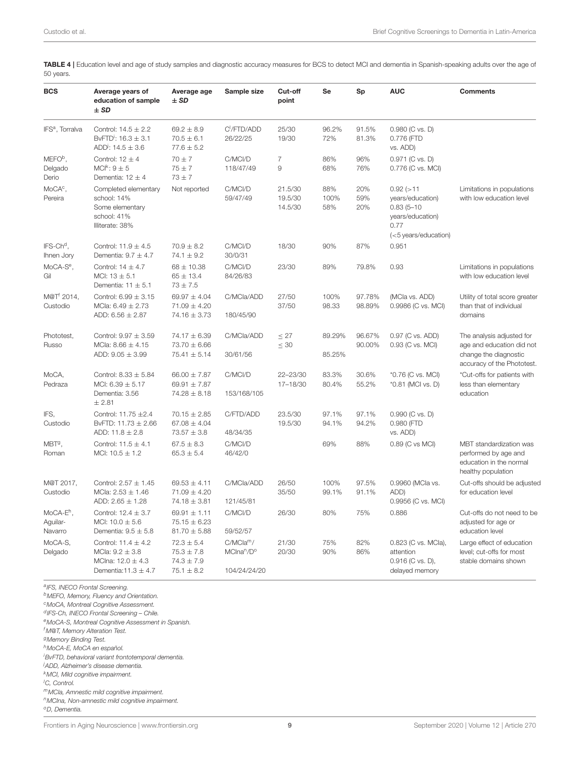<span id="page-8-0"></span>TABLE 4 | Education level and age of study samples and diagnostic accuracy measures for BCS to detect MCI and dementia in Spanish-speaking adults over the age of 50 years.

| <b>BCS</b>                              | Average years of<br>education of sample<br>$±$ SD                                                   | Average age<br>$±$ SD                                                | Sample size                                                     | Cut-off<br>point                      | <b>Se</b>          | Sp                | <b>AUC</b>                                                                                               | <b>Comments</b>                                                                                               |
|-----------------------------------------|-----------------------------------------------------------------------------------------------------|----------------------------------------------------------------------|-----------------------------------------------------------------|---------------------------------------|--------------------|-------------------|----------------------------------------------------------------------------------------------------------|---------------------------------------------------------------------------------------------------------------|
| IFS <sup>a</sup> , Torralva             | Control: $14.5 \pm 2.2$<br>BvFTD: $16.3 \pm 3.1$<br>ADD: $14.5 \pm 3.6$                             | $69.2 \pm 8.9$<br>$70.5 \pm 6.1$<br>$77.6 \pm 5.2$                   | C <sup>I</sup> /FTD/ADD<br>26/22/25                             | 25/30<br>19/30                        | 96.2%<br>72%       | 91.5%<br>81.3%    | 0.980 (C vs. D)<br>0.776 (FTD<br>vs. ADD)                                                                |                                                                                                               |
| MEFO <sup>b</sup> ,<br>Delgado<br>Derio | Control: $12 \pm 4$<br>$MCI^k: 9 \pm 5$<br>Dementia: $12 \pm 4$                                     | $70 \pm 7$<br>$75 \pm 7$<br>$73 \pm 7$                               | C/MCI/D<br>118/47/49                                            | $\overline{7}$<br>$\mathcal{G}% _{0}$ | 86%<br>68%         | 96%<br>76%        | 0.971 (C vs. D)<br>0.776 (C vs. MCI)                                                                     |                                                                                                               |
| MoCA <sup>c</sup> ,<br>Pereira          | Completed elementary<br>school: 14%<br>Some elementary<br>school: 41%<br>Illiterate: 38%            | Not reported                                                         | C/MCI/D<br>59/47/49                                             | 21.5/30<br>19.5/30<br>14.5/30         | 88%<br>100%<br>58% | 20%<br>59%<br>20% | $0.92$ ( $>11$<br>years/education)<br>$0.83(5 - 10)$<br>years/education)<br>0.77<br>(<5 years/education) | Limitations in populations<br>with low education level                                                        |
| IFS-Ch <sup>d</sup> .<br>Ihnen Jory     | Control: $11.9 \pm 4.5$<br>Dementia: $9.7 \pm 4.7$                                                  | $70.9 \pm 8.2$<br>$74.1 \pm 9.2$                                     | C/MCI/D<br>30/0/31                                              | 18/30                                 | 90%                | 87%               | 0.951                                                                                                    |                                                                                                               |
| MoCA-S <sup>e</sup> ,<br>Gil            | Control: $14 \pm 4.7$<br>MCI: $13 \pm 5.1$<br>Dementia: $11 \pm 5.1$                                | $68 \pm 10.38$<br>$65 \pm 13.4$<br>$73 \pm 7.5$                      | C/MCI/D<br>84/26/83                                             | 23/30                                 | 89%                | 79.8%             | 0.93                                                                                                     | Limitations in populations<br>with low education level                                                        |
| M@T <sup>f</sup> 2014,<br>Custodio      | Control: $6.99 \pm 3.15$<br>MCla: $6.49 \pm 2.73$<br>ADD: $6.56 \pm 2.87$                           | $69.97 \pm 4.04$<br>$71.09 \pm 4.20$<br>$74.16 \pm 3.73$             | C/MCla/ADD<br>180/45/90                                         | 27/50<br>37/50                        | 100%<br>98.33      | 97.78%<br>98.89%  | (MCla vs. ADD)<br>0.9986 (C vs. MCI)                                                                     | Utility of total score greater<br>than that of individual<br>domains                                          |
| Phototest,<br>Russo                     | Control: $9.97 \pm 3.59$<br>MCla: $8.66 \pm 4.15$<br>ADD: $9.05 \pm 3.99$                           | $74.17 \pm 6.39$<br>$73.70 \pm 6.66$<br>$75.41 \pm 5.14$             | C/MCla/ADD<br>30/61/56                                          | $\leq$ 27<br>$\leq 30$                | 89.29%<br>85.25%   | 96.67%<br>90.00%  | 0.97 (C vs. ADD)<br>0.93 (C vs. MCI)                                                                     | The analysis adjusted for<br>age and education did not<br>change the diagnostic<br>accuracy of the Phototest. |
| MoCA,<br>Pedraza                        | Control: $8.33 \pm 5.84$<br>MCI: $6.39 \pm 5.17$<br>Dementia: 3.56<br>± 2.81                        | $66.00 \pm 7.87$<br>69.91 $\pm$ 7.87<br>$74.28 \pm 8.18$             | C/MCI/D<br>153/168/105                                          | 22-23/30<br>17-18/30                  | 83.3%<br>80.4%     | 30.6%<br>55.2%    | *0.76 (C vs. MCI)<br>*0.81 (MCI vs. D)                                                                   | *Cut-offs for patients with<br>less than elementary<br>education                                              |
| IFS,<br>Custodio                        | Control: 11.75 ±2.4<br>BvFTD: $11.73 \pm 2.66$<br>ADD: $11.8 \pm 2.8$                               | $70.15 \pm 2.85$<br>$67.08 \pm 4.04$<br>$73.57 \pm 3.8$              | C/FTD/ADD<br>48/34/35                                           | 23.5/30<br>19.5/30                    | 97.1%<br>94.1%     | 97.1%<br>94.2%    | 0.990 (C vs. D)<br>0.980 (FTD<br>vs. ADD)                                                                |                                                                                                               |
| $MBTg$ ,<br>Roman                       | Control: $11.5 \pm 4.1$<br>MCI: $10.5 \pm 1.2$                                                      | $67.5 \pm 8.3$<br>$65.3 \pm 5.4$                                     | C/MCI/D<br>46/42/0                                              |                                       | 69%                | 88%               | 0.89 (C vs MCI)                                                                                          | MBT standardization was<br>performed by age and<br>education in the normal<br>healthy population              |
| M@T 2017,<br>Custodio                   | Control: $2.57 \pm 1.45$<br>MCla: $2.53 \pm 1.46$<br>ADD: $2.65 \pm 1.28$                           | $69.53 \pm 4.11$<br>$71.09 \pm 4.20$<br>$74.18 \pm 3.81$             | C/MCla/ADD<br>121/45/81                                         | 26/50<br>35/50                        | 100%<br>99.1%      | 97.5%<br>91.1%    | 0.9960 (MCla vs.<br>ADD)<br>0.9956 (C vs. MCI)                                                           | Cut-offs should be adjusted<br>for education level                                                            |
| $MOCA-Eh$ ,<br>Aguilar-<br>Navarro      | Control: $12.4 \pm 3.7$<br>MCI: $10.0 \pm 5.6$<br>Dementia: $9.5 \pm 5.8$                           | $69.91 \pm 1.11$<br>$75.15 \pm 6.23$<br>$81.70 \pm 5.88$             | C/MCI/D<br>59/52/57                                             | 26/30                                 | 80%                | 75%               | 0.886                                                                                                    | Cut-offs do not need to be<br>adjusted for age or<br>education level                                          |
| MoCA-S,<br>Delgado                      | Control: $11.4 \pm 4.2$<br>MCla: $9.2 \pm 3.8$<br>MClna: $12.0 \pm 4.3$<br>Dementia: $11.3 \pm 4.7$ | $72.3 \pm 5.4$<br>$75.3 \pm 7.8$<br>$74.3 \pm 7.9$<br>$75.1 \pm 8.2$ | C/MCla <sup>m</sup> /<br>MCIna <sup>n</sup> /D°<br>104/24/24/20 | 21/30<br>20/30                        | 75%<br>90%         | 82%<br>86%        | 0.823 (C vs. MCla),<br>attention<br>0.916 (C vs. D),<br>delayed memory                                   | Large effect of education<br>level; cut-offs for most<br>stable domains shown                                 |

a<sub>IFS</sub>, INECO Frontal Screening.

<sup>b</sup>MEFO, Memory, Fluency and Orientation.

<sup>c</sup>MoCA, Montreal Cognitive Assessment.

<sup>d</sup> IFS-Ch, INECO Frontal Screening – Chile.

<sup>e</sup>MoCA-S, Montreal Cognitive Assessment in Spanish.

<sup>f</sup> M@T, Memory Alteration Test.

<sup>g</sup>Memory Binding Test.

<sup>h</sup>MoCA-E, MoCA en español.

<sup>i</sup>BvFTD, behavioral variant frontotemporal dementia.

<sup>j</sup>ADD, Alzheimer's disease dementia.

<sup>k</sup>MCI, Mild cognitive impairment.

<sup>I</sup>C, Control.

 $m$ MCIa, Amnestic mild cognitive impairment.

<sup>n</sup>MCIna, Non-amnestic mild cognitive impairment. <sup>o</sup>D, Dementia.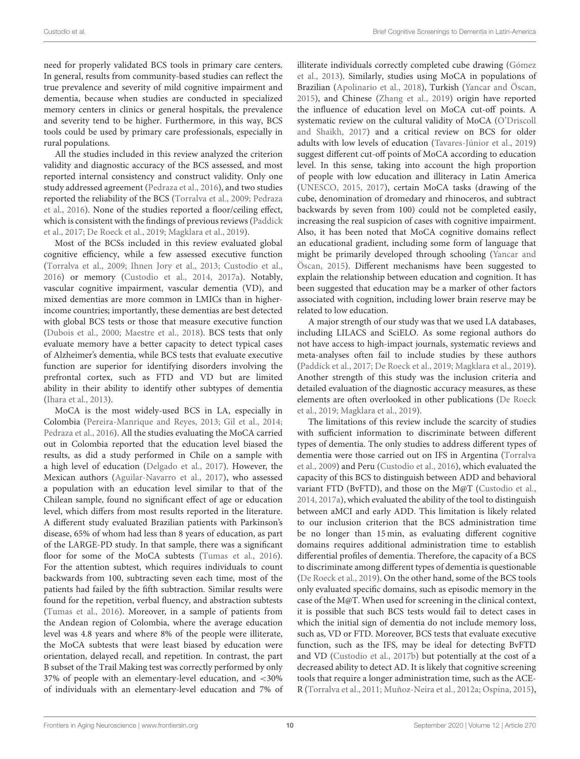need for properly validated BCS tools in primary care centers. In general, results from community-based studies can reflect the true prevalence and severity of mild cognitive impairment and dementia, because when studies are conducted in specialized memory centers in clinics or general hospitals, the prevalence and severity tend to be higher. Furthermore, in this way, BCS tools could be used by primary care professionals, especially in rural populations.

All the studies included in this review analyzed the criterion validity and diagnostic accuracy of the BCS assessed, and most reported internal consistency and construct validity. Only one study addressed agreement [\(Pedraza et al., 2016\)](#page-12-11), and two studies reported the reliability of the BCS [\(Torralva et al., 2009;](#page-12-15) Pedraza et al., [2016\)](#page-12-11). None of the studies reported a floor/ceiling effect, which is consistent with the findings of previous reviews (Paddick et al., [2017;](#page-12-18) [De Roeck et al., 2019;](#page-11-20) [Magklara et al., 2019\)](#page-11-21).

Most of the BCSs included in this review evaluated global cognitive efficiency, while a few assessed executive function [\(Torralva et al., 2009;](#page-12-15) [Ihnen Jory et al., 2013;](#page-11-16) [Custodio et al.,](#page-11-17) [2016\)](#page-11-17) or memory [\(Custodio et al., 2014,](#page-11-14) [2017a\)](#page-11-15). Notably, vascular cognitive impairment, vascular dementia (VD), and mixed dementias are more common in LMICs than in higherincome countries; importantly, these dementias are best detected with global BCS tests or those that measure executive function [\(Dubois et al., 2000;](#page-11-7) [Maestre et al., 2018\)](#page-11-30). BCS tests that only evaluate memory have a better capacity to detect typical cases of Alzheimer's dementia, while BCS tests that evaluate executive function are superior for identifying disorders involving the prefrontal cortex, such as FTD and VD but are limited ability in their ability to identify other subtypes of dementia [\(Ihara et al., 2013\)](#page-11-31).

MoCA is the most widely-used BCS in LA, especially in Colombia [\(Pereira-Manrique and Reyes, 2013;](#page-12-10) [Gil et al., 2014;](#page-11-9) [Pedraza et al., 2016\)](#page-12-11). All the studies evaluating the MoCA carried out in Colombia reported that the education level biased the results, as did a study performed in Chile on a sample with a high level of education [\(Delgado et al., 2017\)](#page-11-10). However, the Mexican authors [\(Aguilar-Navarro et al., 2017\)](#page-10-5), who assessed a population with an education level similar to that of the Chilean sample, found no significant effect of age or education level, which differs from most results reported in the literature. A different study evaluated Brazilian patients with Parkinson's disease, 65% of whom had less than 8 years of education, as part of the LARGE-PD study. In that sample, there was a significant floor for some of the MoCA subtests [\(Tumas et al., 2016\)](#page-12-27). For the attention subtest, which requires individuals to count backwards from 100, subtracting seven each time, most of the patients had failed by the fifth subtraction. Similar results were found for the repetition, verbal fluency, and abstraction subtests [\(Tumas et al., 2016\)](#page-12-27). Moreover, in a sample of patients from the Andean region of Colombia, where the average education level was 4.8 years and where 8% of the people were illiterate, the MoCA subtests that were least biased by education were orientation, delayed recall, and repetition. In contrast, the part B subset of the Trail Making test was correctly performed by only 37% of people with an elementary-level education, and <30% of individuals with an elementary-level education and 7% of illiterate individuals correctly completed cube drawing (Gómez et al., [2013\)](#page-11-8). Similarly, studies using MoCA in populations of Brazilian [\(Apolinario et al., 2018\)](#page-10-11), Turkish [\(Yancar and Öscan,](#page-12-28) [2015\)](#page-12-28), and Chinese [\(Zhang et al., 2019\)](#page-12-29) origin have reported the influence of education level on MoCA cut-off points. A systematic review on the cultural validity of MoCA (O'Driscoll and Shaikh, [2017\)](#page-11-32) and a critical review on BCS for older adults with low levels of education [\(Tavares-Júnior et al., 2019\)](#page-12-30) suggest different cut-off points of MoCA according to education level. In this sense, taking into account the high proportion of people with low education and illiteracy in Latin America [\(UNESCO, 2015,](#page-12-16) [2017\)](#page-12-17), certain MoCA tasks (drawing of the cube, denomination of dromedary and rhinoceros, and subtract backwards by seven from 100) could not be completed easily, increasing the real suspicion of cases with cognitive impairment. Also, it has been noted that MoCA cognitive domains reflect an educational gradient, including some form of language that might be primarily developed through schooling (Yancar and Öscan, [2015\)](#page-12-28). Different mechanisms have been suggested to explain the relationship between education and cognition. It has been suggested that education may be a marker of other factors associated with cognition, including lower brain reserve may be related to low education.

A major strength of our study was that we used LA databases, including LILACS and SciELO. As some regional authors do not have access to high-impact journals, systematic reviews and meta-analyses often fail to include studies by these authors [\(Paddick et al., 2017;](#page-12-18) [De Roeck et al., 2019;](#page-11-20) [Magklara et al., 2019\)](#page-11-21). Another strength of this study was the inclusion criteria and detailed evaluation of the diagnostic accuracy measures, as these elements are often overlooked in other publications (De Roeck et al., [2019;](#page-11-20) [Magklara et al., 2019\)](#page-11-21).

The limitations of this review include the scarcity of studies with sufficient information to discriminate between different types of dementia. The only studies to address different types of dementia were those carried out on IFS in Argentina (Torralva et al., [2009\)](#page-12-15) and Peru [\(Custodio et al., 2016\)](#page-11-17), which evaluated the capacity of this BCS to distinguish between ADD and behavioral variant FTD (BvFTD), and those on the M@T [\(Custodio et al.,](#page-11-14) [2014,](#page-11-14) [2017a\)](#page-11-15), which evaluated the ability of the tool to distinguish between aMCI and early ADD. This limitation is likely related to our inclusion criterion that the BCS administration time be no longer than 15 min, as evaluating different cognitive domains requires additional administration time to establish differential profiles of dementia. Therefore, the capacity of a BCS to discriminate among different types of dementia is questionable [\(De Roeck et al., 2019\)](#page-11-20). On the other hand, some of the BCS tools only evaluated specific domains, such as episodic memory in the case of the M@T. When used for screening in the clinical context, it is possible that such BCS tests would fail to detect cases in which the initial sign of dementia do not include memory loss, such as, VD or FTD. Moreover, BCS tests that evaluate executive function, such as the IFS, may be ideal for detecting BvFTD and VD [\(Custodio et al., 2017b\)](#page-11-33) but potentially at the cost of a decreased ability to detect AD. It is likely that cognitive screening tools that require a longer administration time, such as the ACE-R [\(Torralva et al., 2011;](#page-12-13) [Muñoz-Neira et al., 2012a;](#page-11-13) [Ospina, 2015\)](#page-12-14),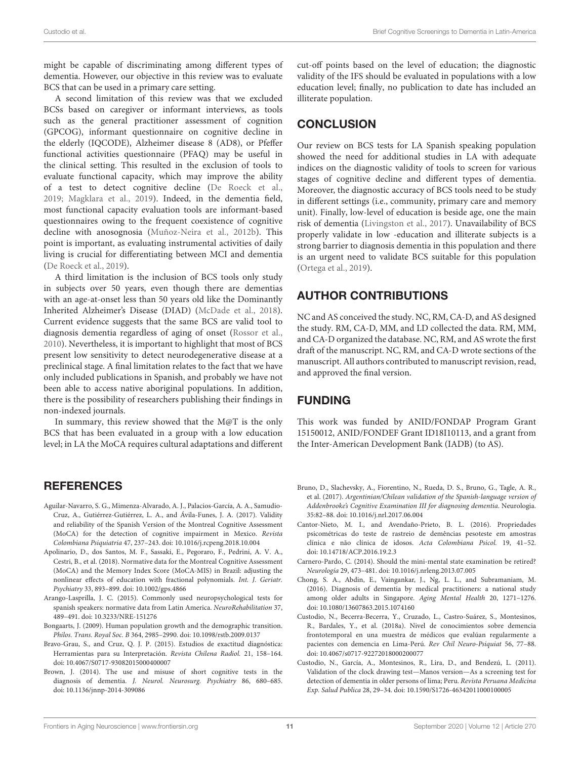might be capable of discriminating among different types of dementia. However, our objective in this review was to evaluate BCS that can be used in a primary care setting.

A second limitation of this review was that we excluded BCSs based on caregiver or informant interviews, as tools such as the general practitioner assessment of cognition (GPCOG), informant questionnaire on cognitive decline in the elderly (IQCODE), Alzheimer disease 8 (AD8), or Pfeffer functional activities questionnaire (PFAQ) may be useful in the clinical setting. This resulted in the exclusion of tools to evaluate functional capacity, which may improve the ability of a test to detect cognitive decline [\(De Roeck et al.,](#page-11-20) [2019;](#page-11-20) [Magklara et al., 2019\)](#page-11-21). Indeed, in the dementia field, most functional capacity evaluation tools are informant-based questionnaires owing to the frequent coexistence of cognitive decline with anosognosia [\(Muñoz-Neira et al., 2012b\)](#page-11-34). This point is important, as evaluating instrumental activities of daily living is crucial for differentiating between MCI and dementia [\(De Roeck et al., 2019\)](#page-11-20).

A third limitation is the inclusion of BCS tools only study in subjects over 50 years, even though there are dementias with an age-at-onset less than 50 years old like the Dominantly Inherited Alzheimer's Disease (DIAD) [\(McDade et al., 2018\)](#page-11-35). Current evidence suggests that the same BCS are valid tool to diagnosis dementia regardless of aging of onset [\(Rossor et al.,](#page-12-31) [2010\)](#page-12-31). Nevertheless, it is important to highlight that most of BCS present low sensitivity to detect neurodegenerative disease at a preclinical stage. A final limitation relates to the fact that we have only included publications in Spanish, and probably we have not been able to access native aboriginal populations. In addition, there is the possibility of researchers publishing their findings in non-indexed journals.

In summary, this review showed that the M@T is the only BCS that has been evaluated in a group with a low education level; in LA the MoCA requires cultural adaptations and different

# REFERENCES

- <span id="page-10-5"></span>Aguilar-Navarro, S. G., Mimenza-Alvarado, A. J., Palacios-García, A. A., Samudio-Cruz, A., Gutiérrez-Gutiérrez, L. A., and Ávila-Funes, J. A. (2017). Validity and reliability of the Spanish Version of the Montreal Cognitive Assessment (MoCA) for the detection of cognitive impairment in Mexico. Revista Colombiana Psiquiatria 47, 237–243. doi: [10.1016/j.rcpeng.2018.10.004](https://doi.org/10.1016/j.rcpeng.2018.10.004)
- <span id="page-10-11"></span>Apolinario, D., dos Santos, M. F., Sassaki, E., Pegoraro, F., Pedrini, A. V. A., Cestri, B., et al. (2018). Normative data for the Montreal Cognitive Assessment (MoCA) and the Memory Index Score (MoCA-MIS) in Brazil: adjusting the nonlinear effects of education with fractional polynomials. Int. J. Geriatr. Psychiatry 33, 893–899. doi: [10.1002/gps.4866](https://doi.org/10.1002/gps.4866)
- <span id="page-10-10"></span>Arango-Lasprilla, J. C. (2015). Commonly used neuropsychological tests for spanish speakers: normative data from Latin America. NeuroRehabilitation 37, 489–491. doi: [10.3233/NRE-151276](https://doi.org/10.3233/NRE-151276)
- <span id="page-10-0"></span>Bongaarts, J. (2009). Human population growth and the demographic transition. Philos. Trans. Royal Soc. B 364, 2985–2990. doi: [10.1098/rstb.2009.0137](https://doi.org/10.1098/rstb.2009.0137)
- <span id="page-10-7"></span>Bravo-Grau, S., and Cruz, Q. J. P. (2015). Estudios de exactitud diagnóstica: Herramientas para su Interpretación. Revista Chilena Radiol. 21, 158–164. doi: [10.4067/S0717-93082015000400007](https://doi.org/10.4067/S0717-93082015000400007)
- <span id="page-10-3"></span>Brown, J. (2014). The use and misuse of short cognitive tests in the diagnosis of dementia. J. Neurol. Neurosurg. Psychiatry 86, 680-685. doi: [10.1136/jnnp-2014-309086](https://doi.org/10.1136/jnnp-2014-309086)

cut-off points based on the level of education; the diagnostic validity of the IFS should be evaluated in populations with a low education level; finally, no publication to date has included an illiterate population.

# **CONCLUSION**

Our review on BCS tests for LA Spanish speaking population showed the need for additional studies in LA with adequate indices on the diagnostic validity of tools to screen for various stages of cognitive decline and different types of dementia. Moreover, the diagnostic accuracy of BCS tools need to be study in different settings (i.e., community, primary care and memory unit). Finally, low-level of education is beside age, one the main risk of dementia [\(Livingston et al., 2017\)](#page-11-36). Unavailability of BCS properly validate in low -education and illiterate subjects is a strong barrier to diagnosis dementia in this population and there is an urgent need to validate BCS suitable for this population [\(Ortega et al., 2019\)](#page-12-32).

# AUTHOR CONTRIBUTIONS

NC and AS conceived the study. NC, RM, CA-D, and AS designed the study. RM, CA-D, MM, and LD collected the data. RM, MM, and CA-D organized the database. NC, RM, and AS wrote the first draft of the manuscript. NC, RM, and CA-D wrote sections of the manuscript. All authors contributed to manuscript revision, read, and approved the final version.

# FUNDING

This work was funded by ANID/FONDAP Program Grant 15150012, ANID/FONDEF Grant ID18I10113, and a grant from the Inter-American Development Bank (IADB) (to AS).

- <span id="page-10-6"></span>Bruno, D., Slachevsky, A., Fiorentino, N., Rueda, D. S., Bruno, G., Tagle, A. R., et al. (2017). Argentinian/Chilean validation of the Spanish-language version of Addenbrooke's Cognitive Examination III for diagnosing dementia. Neurologia. 35:82–88. doi: [10.1016/j.nrl.2017.06.004](https://doi.org/10.1016/j.nrl.2017.06.004)
- <span id="page-10-8"></span>Cantor-Nieto, M. I., and Avendaño-Prieto, B. L. (2016). Propriedades psicométricas do teste de rastreio de demências pesoteste em amostras clínica e não clínica de idosos. Acta Colombiana Psicol. 19, 41–52. doi: [10.14718/ACP.2016.19.2.3](https://doi.org/10.14718/ACP.2016.19.2.3)
- <span id="page-10-4"></span>Carnero-Pardo, C. (2014). Should the mini-mental state examination be retired? Neurología 29, 473–481. doi: [10.1016/j.nrleng.2013.07.005](https://doi.org/10.1016/j.nrleng.2013.07.005)
- <span id="page-10-1"></span>Chong, S. A., Abdin, E., Vaingankar, J., Ng, L. L., and Subramaniam, M. (2016). Diagnosis of dementia by medical practitioners: a national study among older adults in Singapore. Aging Mental Health 20, 1271–1276. doi: [10.1080/13607863.2015.1074160](https://doi.org/10.1080/13607863.2015.1074160)
- <span id="page-10-2"></span>Custodio, N., Becerra-Becerra, Y., Cruzado, L., Castro-Suárez, S., Montesinos, R., Bardales, Y., et al. (2018a). Nivel de conocimientos sobre demencia frontotemporal en una muestra de médicos que evalúan regularmente a pacientes con demencia en Lima-Perú. Rev Chil Neuro-Psiquiat 56, 77–88. doi: [10.4067/s0717-92272018000200077](https://doi.org/10.4067/s0717-92272018000200077)
- <span id="page-10-9"></span>Custodio, N., García, A., Montesinos, R., Lira, D., and Bendezú, L. (2011). Validation of the clock drawing test—Manos version—As a screening test for detection of dementia in older persons of lima; Peru. Revista Peruana Medicina Exp. Salud Publica 28, 29–34. doi: [10.1590/S1726-46342011000100005](https://doi.org/10.1590/S1726-46342011000100005)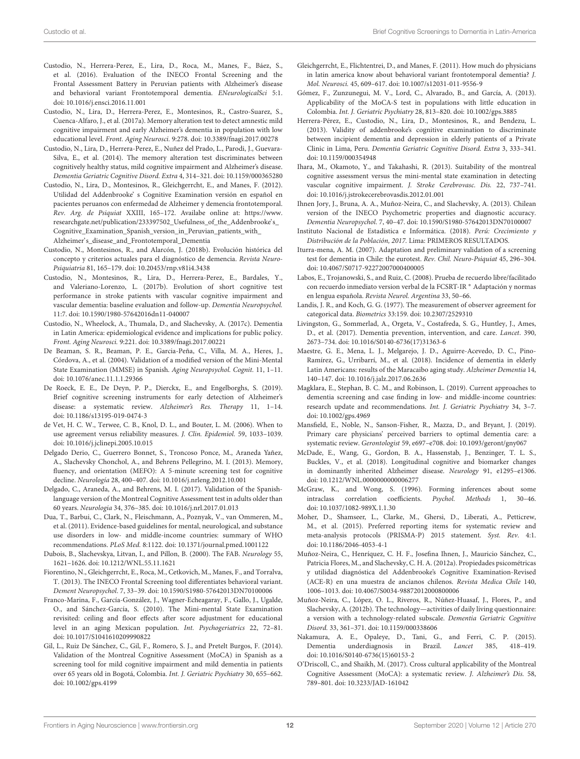- <span id="page-11-17"></span>Custodio, N., Herrera-Perez, E., Lira, D., Roca, M., Manes, F., Báez, S., et al. (2016). Evaluation of the INECO Frontal Screening and the Frontal Assessment Battery in Peruvian patients with Alzheimer's disease and behavioral variant Frontotemporal dementia. ENeurologicalSci 5:1. doi: [10.1016/j.ensci.2016.11.001](https://doi.org/10.1016/j.ensci.2016.11.001)
- <span id="page-11-15"></span>Custodio, N., Lira, D., Herrera-Perez, E., Montesinos, R., Castro-Suarez, S., Cuenca-Alfaro, J., et al. (2017a). Memory alteration test to detect amnestic mild cognitive impairment and early Alzheimer's dementia in population with low educational level. Front. Aging Neurosci. 9:278. doi: [10.3389/fnagi.2017.00278](https://doi.org/10.3389/fnagi.2017.00278)
- <span id="page-11-14"></span>Custodio, N., Lira, D., Herrera-Perez, E., Nuñez del Prado, L., Parodi, J., Guevara-Silva, E., et al. (2014). The memory alteration test discriminates between cognitively healthy status, mild cognitive impairment and Alzheimer's disease. Dementia Geriatric Cognitive Disord. Extra 4, 314–321. doi: [10.1159/000365280](https://doi.org/10.1159/000365280)
- <span id="page-11-11"></span>Custodio, N., Lira, D., Montesinos, R., Gleichgerrcht, E., and Manes, F. (2012). Utilidad del Addenbrooke' s Cognitive Examination versión en español en pacientes peruanos con enfermedad de Alzheimer y demencia frontotemporal. Rev. Arg. de Psiquiat XXIII, 165–172. Availabe online at: [https://www.](https://www.researchgate.net/publication/233397502_Usefulness_of_the_Addenbrooke) [researchgate.net/publication/233397502\\_Usefulness\\_of\\_the\\_Addenbrooke's\\_](https://www.researchgate.net/publication/233397502_Usefulness_of_the_Addenbrooke) [Cognitive\\_Examination\\_Spanish\\_version\\_in\\_Peruvian\\_patients\\_with\\_](https://www.researchgate.net/publication/233397502_Usefulness_of_the_Addenbrooke) Alzheimer's disease and Frontotemporal Dementia
- <span id="page-11-4"></span>Custodio, N., Montesinos, R., and Alarcón, J. (2018b). Evolución histórica del concepto y criterios actuales para el diagnóstico de demencia. Revista Neuro-Psiquiatria 81, 165–179. doi: [10.20453/rnp.v81i4.3438](https://doi.org/10.20453/rnp.v81i4.3438)
- <span id="page-11-33"></span>Custodio, N., Montesinos, R., Lira, D., Herrera-Perez, E., Bardales, Y., and Valeriano-Lorenzo, L. (2017b). Evolution of short cognitive test performance in stroke patients with vascular cognitive impairment and vascular dementia: baseline evaluation and follow-up. Dementia Neuropsychol. 11:7. doi: [10.1590/1980-57642016dn11-040007](https://doi.org/10.1590/1980-57642016dn11-040007)
- <span id="page-11-0"></span>Custodio, N., Wheelock, A., Thumala, D., and Slachevsky, A. (2017c). Dementia in Latin America: epidemiological evidence and implications for public policy. Front. Aging Neurosci. 9:221. doi: [10.3389/fnagi.2017.00221](https://doi.org/10.3389/fnagi.2017.00221)
- <span id="page-11-5"></span>De Beaman, S. R., Beaman, P. E., Garcia-Peña, C., Villa, M. A., Heres, J., Córdova, A., et al. (2004). Validation of a modified version of the Mini-Mental State Examination (MMSE) in Spanish. Aging Neuropsychol. Cognit. 11, 1–11. doi: [10.1076/anec.11.1.1.29366](https://doi.org/10.1076/anec.11.1.1.29366)
- <span id="page-11-20"></span>De Roeck, E. E., De Deyn, P. P., Dierckx, E., and Engelborghs, S. (2019). Brief cognitive screening instruments for early detection of Alzheimer's disease: a systematic review. Alzheimer's Res. Therapy 11, 1–14. doi: [10.1186/s13195-019-0474-3](https://doi.org/10.1186/s13195-019-0474-3)
- <span id="page-11-24"></span>de Vet, H. C. W., Terwee, C. B., Knol, D. L., and Bouter, L. M. (2006). When to use agreement versus reliability measures. J. Clin. Epidemiol. 59, 1033–1039. doi: [10.1016/j.jclinepi.2005.10.015](https://doi.org/10.1016/j.jclinepi.2005.10.015)
- <span id="page-11-29"></span>Delgado Derio, C., Guerrero Bonnet, S., Troncoso Ponce, M., Araneda Yañez, A., Slachevsky Chonchol, A., and Behrens Pellegrino, M. I. (2013). Memory, fluency, and orientation (MEFO): A 5-minute screening test for cognitive decline. Neurología 28, 400–407. doi: [10.1016/j.nrleng.2012.10.001](https://doi.org/10.1016/j.nrleng.2012.10.001)
- <span id="page-11-10"></span>Delgado, C., Araneda, A., and Behrens, M. I. (2017). Validation of the Spanishlanguage version of the Montreal Cognitive Assessment test in adults older than 60 years. Neurologia 34, 376–385. doi: [10.1016/j.nrl.2017.01.013](https://doi.org/10.1016/j.nrl.2017.01.013)
- <span id="page-11-18"></span>Dua, T., Barbui, C., Clark, N., Fleischmann, A., Poznyak, V., van Ommeren, M., et al. (2011). Evidence-based guidelines for mental, neurological, and substance use disorders in low- and middle-income countries: summary of WHO recommendations. PLoS Med. 8:1122. doi: [10.1371/journal.pmed.1001122](https://doi.org/10.1371/journal.pmed.1001122)
- <span id="page-11-7"></span>Dubois, B., Slachevskya, Litvan, I., and Pillon, B. (2000). The FAB. Neurology 55, 1621–1626. doi: [10.1212/WNL.55.11.1621](https://doi.org/10.1212/WNL.55.11.1621)
- <span id="page-11-28"></span>Fiorentino, N., Gleichgerrcht, E., Roca, M., Cetkovich, M., Manes, F., and Torralva, T. (2013). The INECO Frontal Screening tool differentiates behavioral variant. Dement Neuropsychol. 7, 33–39. doi: [10.1590/S1980-57642013DN70100006](https://doi.org/10.1590/S1980-57642013DN70100006)
- <span id="page-11-6"></span>Franco-Marina, F., García-González, J., Wagner-Echeagaray, F., Gallo, J., Ugalde, O., and Sánchez-García, S. (2010). The Mini-mental State Examination revisited: ceiling and floor effects after score adjustment for educational level in an aging Mexican population. Int. Psychogeriatrics 22, 72–81. doi: [10.1017/S1041610209990822](https://doi.org/10.1017/S1041610209990822)
- <span id="page-11-9"></span>Gil, L., Ruiz De Sánchez, C., Gil, F., Romero, S. J., and Pretelt Burgos, F. (2014). Validation of the Montreal Cognitive Assessment (MoCA) in Spanish as a screening tool for mild cognitive impairment and mild dementia in patients over 65 years old in Bogotá, Colombia. Int. J. Geriatric Psychiatry 30, 655–662. doi: [10.1002/gps.4199](https://doi.org/10.1002/gps.4199)
- <span id="page-11-3"></span>Gleichgerrcht, E., Flichtentrei, D., and Manes, F. (2011). How much do physicians in latin america know about behavioral variant frontotemporal dementia? J. Mol. Neurosci. 45, 609–617. doi: [10.1007/s12031-011-9556-9](https://doi.org/10.1007/s12031-011-9556-9)
- <span id="page-11-8"></span>Gómez, F., Zunzunegui, M. V., Lord, C., Alvarado, B., and García, A. (2013). Applicability of the MoCA-S test in populations with little education in Colombia. Int. J. Geriatric Psychiatry 28, 813–820. doi: [10.1002/gps.3885](https://doi.org/10.1002/gps.3885)
- <span id="page-11-12"></span>Herrera-Pérez, E., Custodio, N., Lira, D., Montesinos, R., and Bendezu, L. (2013). Validity of addenbrooke's cognitive examination to discriminate between incipient dementia and depression in elderly patients of a Private Clinic in Lima, Peru. Dementia Geriatric Cognitive Disord. Extra 3, 333–341. doi: [10.1159/000354948](https://doi.org/10.1159/000354948)
- <span id="page-11-31"></span>Ihara, M., Okamoto, Y., and Takahashi, R. (2013). Suitability of the montreal cognitive assessment versus the mini-mental state examination in detecting vascular cognitive impairment. J. Stroke Cerebrovasc. Dis. 22, 737–741. doi: [10.1016/j.jstrokecerebrovasdis.2012.01.001](https://doi.org/10.1016/j.jstrokecerebrovasdis.2012.01.001)
- <span id="page-11-16"></span>Ihnen Jory, J., Bruna, A. A., Muñoz-Neira, C., and Slachevsky, A. (2013). Chilean version of the INECO Psychometric properties and diagnostic accuracy. Dementia Neuropsychol. 7, 40–47. doi: [10.1590/S1980-57642013DN70100007](https://doi.org/10.1590/S1980-57642013DN70100007)
- <span id="page-11-19"></span>Instituto Nacional de Estadística e Informática. (2018). Perú: Crecimiento y Distribución de la Población, 2017. Lima: PRIMEROS RESULTADOS.
- <span id="page-11-26"></span>Iturra-mena, A. M. (2007). Adaptation and preliminary validation of a screening test for dementia in Chile: the eurotest. Rev. Chil. Neuro-Psiquiat 45, 296–304. doi: [10.4067/S0717-92272007000400005](https://doi.org/10.4067/S0717-92272007000400005)
- <span id="page-11-27"></span>Labos, E., Trojanowski, S., and Ruiz, C. (2008). Prueba de recuerdo libre/facilitado con recuerdo inmediato version verbal de la FCSRT-IR <sup>∗</sup> Adaptación y normas en lengua española. Revista Neurol. Argentina 33, 50–66.
- <span id="page-11-23"></span>Landis, J. R., and Koch, G. G. (1977). The measurement of observer agreement for categorical data. Biometrics 33:159. doi: [10.2307/2529310](https://doi.org/10.2307/2529310)
- <span id="page-11-36"></span>Livingston, G., Sommerlad, A., Orgeta, V., Costafreda, S. G., Huntley, J., Ames, D., et al. (2017). Dementia prevention, intervention, and care. Lancet. 390, 2673–734. doi: [10.1016/S0140-6736\(17\)31363-6](https://doi.org/10.1016/S0140-6736(17)31363-6)
- <span id="page-11-30"></span>Maestre, G. E., Mena, L. J., Melgarejo, J. D., Aguirre-Acevedo, D. C., Pino-Ramírez, G., Urribarrí, M., et al. (2018). Incidence of dementia in elderly Latin Americans: results of the Maracaibo aging study. Alzheimer Dementia 14, 140–147. doi: [10.1016/j.jalz.2017.06.2636](https://doi.org/10.1016/j.jalz.2017.06.2636)
- <span id="page-11-21"></span>Magklara, E., Stephan, B. C. M., and Robinson, L. (2019). Current approaches to dementia screening and case finding in low- and middle-income countries: research update and recommendations. Int. J. Geriatric Psychiatry 34, 3–7. doi: [10.1002/gps.4969](https://doi.org/10.1002/gps.4969)
- <span id="page-11-2"></span>Mansfield, E., Noble, N., Sanson-Fisher, R., Mazza, D., and Bryant, J. (2019). Primary care physicians' perceived barriers to optimal dementia care: a systematic review. Gerontologist 59, e697–e708. doi: [10.1093/geront/gny067](https://doi.org/10.1093/geront/gny067)
- <span id="page-11-35"></span>McDade, E., Wang, G., Gordon, B. A., Hassenstab, J., Benzinger, T. L. S., Buckles, V., et al. (2018). Longitudinal cognitive and biomarker changes in dominantly inherited Alzheimer disease. Neurology 91, e1295–e1306. doi: [10.1212/WNL.0000000000006277](https://doi.org/10.1212/WNL.0000000000006277)
- <span id="page-11-25"></span>McGraw, K., and Wong, S. (1996). Forming inferences about some intraclass correlation coefficients. Psychol. Methods 1, 30–46. doi: [10.1037/1082-989X.1.1.30](https://doi.org/10.1037/1082-989X.1.1.30)
- <span id="page-11-22"></span>Moher, D., Shamseer, L., Clarke, M., Ghersi, D., Liberati, A., Petticrew, M., et al. (2015). Preferred reporting items for systematic review and meta-analysis protocols (PRISMA-P) 2015 statement. Syst. Rev. 4:1. doi: [10.1186/2046-4053-4-1](https://doi.org/10.1186/2046-4053-4-1)
- <span id="page-11-13"></span>Muñoz-Neira, C., Henríquez, C. H. F., Josefina Ihnen, J., Mauricio Sánchez, C., Patricia Flores, M., and Slachevsky, C. H. A. (2012a). Propiedades psicométricas y utilidad diagnóstica del Addenbrooke's Cognitive Examination-Revised (ACE-R) en una muestra de ancianos chilenos. Revista Medica Chile 140, 1006–1013. doi: [10.4067/S0034-98872012000800006](https://doi.org/10.4067/S0034-98872012000800006)
- <span id="page-11-34"></span>Muñoz-Neira, C., López, O. L., Riveros, R., Núñez-Huasaf, J., Flores, P., and Slachevsky, A. (2012b). The technology—activities of daily living questionnaire: a version with a technology-related subscale. Dementia Geriatric Cognitive Disord. 33, 361–371. doi: [10.1159/000338606](https://doi.org/10.1159/000338606)
- <span id="page-11-1"></span>Nakamura, A. E., Opaleye, D., Tani, G., and Ferri, C. P. (2015). Dementia underdiagnosis in Brazil. Lancet 385, 418–419. doi: [10.1016/S0140-6736\(15\)60153-2](https://doi.org/10.1016/S0140-6736(15)60153-2)
- <span id="page-11-32"></span>O'Driscoll, C., and Shaikh, M. (2017). Cross cultural applicability of the Montreal Cognitive Assessment (MoCA): a systematic review. J. Alzheimer's Dis. 58, 789–801. doi: [10.3233/JAD-161042](https://doi.org/10.3233/JAD-161042)